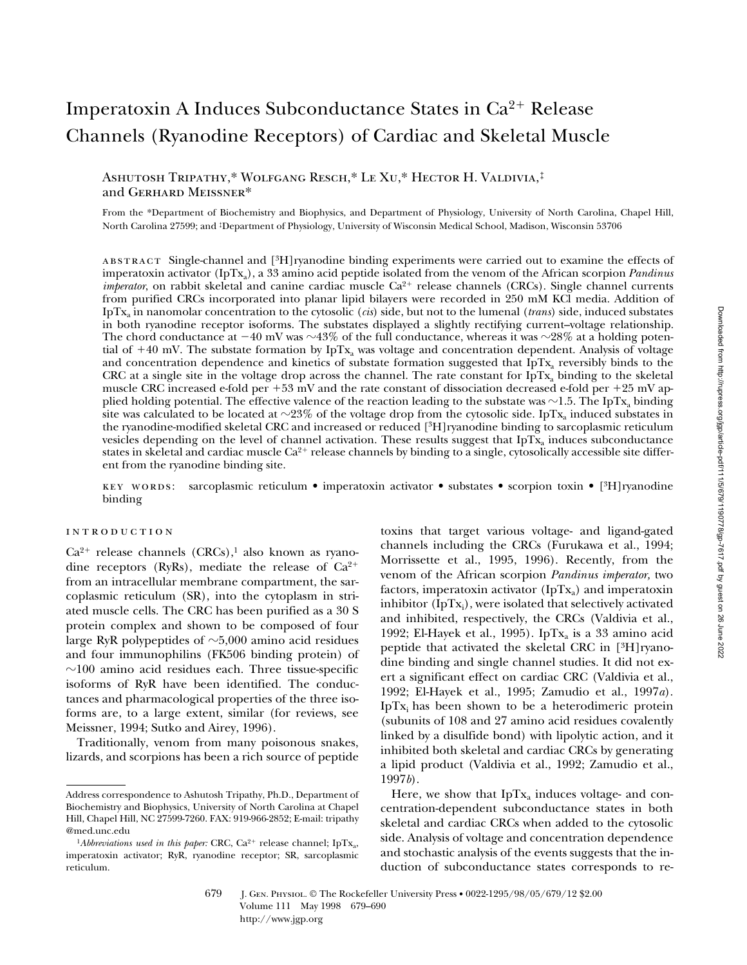# Imperatoxin A Induces Subconductance States in Ca<sup>2+</sup> Release Channels (Ryanodine Receptors) of Cardiac and Skeletal Muscle

Ashutosh Tripathy,\* Wolfgang Resch,\* Le Xu,\* Hector H. Valdivia,‡ and Gerhard Meissner\*

From the \*Department of Biochemistry and Biophysics, and Department of Physiology, University of North Carolina, Chapel Hill, North Carolina 27599; and ‡Department of Physiology, University of Wisconsin Medical School, Madison, Wisconsin 53706

abstract Single-channel and [3H]ryanodine binding experiments were carried out to examine the effects of imperatoxin activator (IpTx<sub>a</sub>), a 33 amino acid peptide isolated from the venom of the African scorpion *Pandinus imperator*, on rabbit skeletal and canine cardiac muscle  $Ca^{2+}$  release channels (CRCs). Single channel currents from purified CRCs incorporated into planar lipid bilayers were recorded in 250 mM KCl media. Addition of IpTxa in nanomolar concentration to the cytosolic (*cis*) side, but not to the lumenal (*trans*) side, induced substates in both ryanodine receptor isoforms. The substates displayed a slightly rectifying current–voltage relationship. The chord conductance at  $-40$  mV was  $\sim$ 43% of the full conductance, whereas it was  $\sim$ 28% at a holding potential of  $+40$  mV. The substate formation by IpTx<sub>a</sub> was voltage and concentration dependent. Analysis of voltage and concentration dependence and kinetics of substate formation suggested that  $IpTx_a$  reversibly binds to the CRC at a single site in the voltage drop across the channel. The rate constant for IpT $x_a$  binding to the skeletal muscle CRC increased e-fold per  $+53$  mV and the rate constant of dissociation decreased e-fold per  $+25$  mV applied holding potential. The effective valence of the reaction leading to the substate was  $\sim$ 1.5. The IpTx<sub>a</sub> binding site was calculated to be located at  $\sim$ 23% of the voltage drop from the cytosolic side. IpTx<sub>a</sub> induced substates in the ryanodine-modified skeletal CRC and increased or reduced [3H]ryanodine binding to sarcoplasmic reticulum vesicles depending on the level of channel activation. These results suggest that  $IpTx_a$  induces subconductance states in skeletal and cardiac muscle  $Ca^{2+}$  release channels by binding to a single, cytosolically accessible site different from the ryanodine binding site.

key words: sarcoplasmic reticulum • imperatoxin activator • substates • scorpion toxin • [3H]ryanodine binding

# introduction

 $Ca^{2+}$  release channels (CRCs),<sup>1</sup> also known as ryanodine receptors (RyRs), mediate the release of  $Ca^{2+}$ from an intracellular membrane compartment, the sarcoplasmic reticulum (SR), into the cytoplasm in striated muscle cells. The CRC has been purified as a 30 S protein complex and shown to be composed of four large RyR polypeptides of  $\sim$ 5,000 amino acid residues and four immunophilins (FK506 binding protein) of  $\sim$ 100 amino acid residues each. Three tissue-specific isoforms of RyR have been identified. The conductances and pharmacological properties of the three isoforms are, to a large extent, similar (for reviews, see Meissner, 1994; Sutko and Airey, 1996).

Traditionally, venom from many poisonous snakes, lizards, and scorpions has been a rich source of peptide

toxins that target various voltage- and ligand-gated channels including the CRCs (Furukawa et al., 1994; Morrissette et al., 1995, 1996). Recently, from the venom of the African scorpion *Pandinus imperator,* two factors, imperatoxin activator (IpT $x_a$ ) and imperatoxin inhibitor (IpT $\mathrm{x}_{\mathrm{i}}$ ), were isolated that selectively activated and inhibited, respectively, the CRCs (Valdivia et al., 1992; El-Hayek et al., 1995). IpT $x_a$  is a 33 amino acid peptide that activated the skeletal CRC in [3H]ryanodine binding and single channel studies. It did not exert a significant effect on cardiac CRC (Valdivia et al., 1992; El-Hayek et al., 1995; Zamudio et al., 1997*a*). IpT $x_i$  has been shown to be a heterodimeric protein (subunits of 108 and 27 amino acid residues covalently linked by a disulfide bond) with lipolytic action, and it inhibited both skeletal and cardiac CRCs by generating a lipid product (Valdivia et al., 1992; Zamudio et al., 1997*b*).

Here, we show that  $IpTx_a$  induces voltage- and concentration-dependent subconductance states in both skeletal and cardiac CRCs when added to the cytosolic side. Analysis of voltage and concentration dependence and stochastic analysis of the events suggests that the induction of subconductance states corresponds to re-

Address correspondence to Ashutosh Tripathy, Ph.D., Department of Biochemistry and Biophysics, University of North Carolina at Chapel Hill, Chapel Hill, NC 27599-7260. FAX: 919-966-2852; E-mail: tripathy @med.unc.edu

<sup>&</sup>lt;sup>1</sup>*Abbreviations used in this paper:* CRC,  $Ca^{2+}$  release channel; IpTx<sub>a</sub>, imperatoxin activator; RyR, ryanodine receptor; SR, sarcoplasmic reticulum.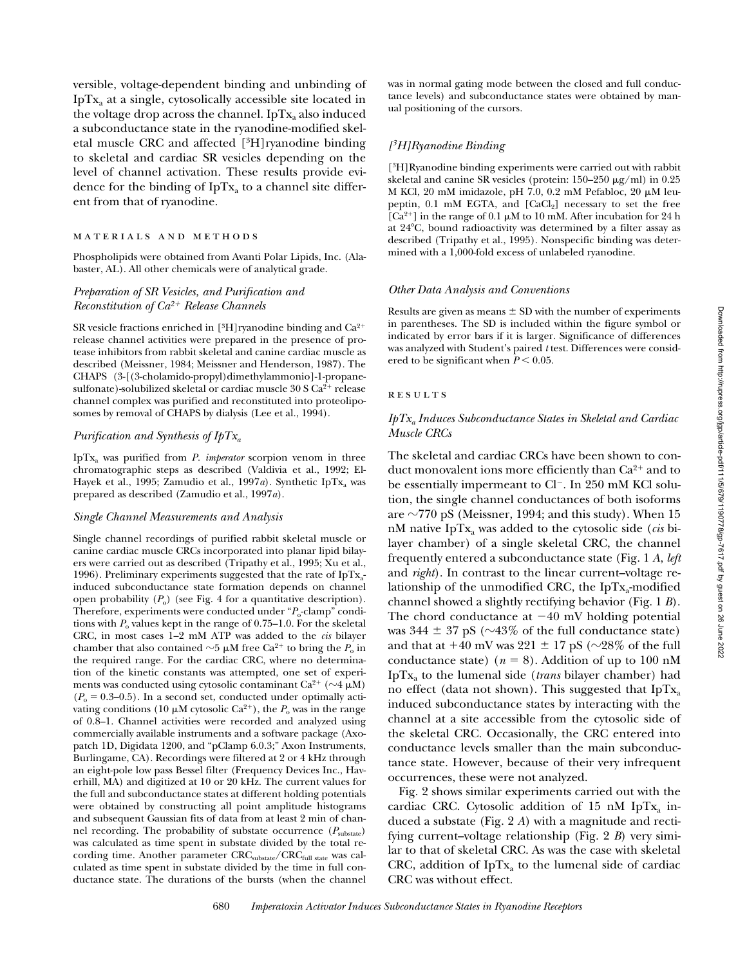versible, voltage-dependent binding and unbinding of Ip $Tx_a$  at a single, cytosolically accessible site located in the voltage drop across the channel. IpT $x_a$  also induced a subconductance state in the ryanodine-modified skeletal muscle CRC and affected [3H]ryanodine binding to skeletal and cardiac SR vesicles depending on the level of channel activation. These results provide evidence for the binding of  $IpTx_a$  to a channel site different from that of ryanodine.

#### materials and methods

Phospholipids were obtained from Avanti Polar Lipids, Inc. (Alabaster, AL). All other chemicals were of analytical grade.

# *Preparation of SR Vesicles, and Purification and Reconstitution of Ca2*1 *Release Channels*

SR vesicle fractions enriched in  $[{}^{3}H]$ ryanodine binding and Ca<sup>2+</sup> release channel activities were prepared in the presence of protease inhibitors from rabbit skeletal and canine cardiac muscle as described (Meissner, 1984; Meissner and Henderson, 1987). The CHAPS (3-[(3-cholamido-propyl)dimethylammonio]-1-propanesulfonate)-solubilized skeletal or cardiac muscle  $30 S Ca<sup>2+</sup>$  release channel complex was purified and reconstituted into proteoliposomes by removal of CHAPS by dialysis (Lee et al., 1994).

## *Purification and Synthesis of IpTxa*

IpTxa was purified from *P. imperator* scorpion venom in three chromatographic steps as described (Valdivia et al., 1992; El-Hayek et al., 1995; Zamudio et al., 1997*a*). Synthetic IpTx<sub>a</sub> was prepared as described (Zamudio et al., 1997*a*).

#### *Single Channel Measurements and Analysis*

Single channel recordings of purified rabbit skeletal muscle or canine cardiac muscle CRCs incorporated into planar lipid bilayers were carried out as described (Tripathy et al., 1995; Xu et al., 1996). Preliminary experiments suggested that the rate of  $IpTx_a$ induced subconductance state formation depends on channel open probability  $(P_0)$  (see Fig. 4 for a quantitative description). Therefore, experiments were conducted under "*P*<sub>o</sub>-clamp" conditions with  $P_0$  values kept in the range of 0.75–1.0. For the skeletal CRC, in most cases 1–2 mM ATP was added to the *cis* bilayer chamber that also contained  $\sim$ 5  $\mu$ M free Ca<sup>2+</sup> to bring the *P*<sub>o</sub> in the required range. For the cardiac CRC, where no determination of the kinetic constants was attempted, one set of experiments was conducted using cytosolic contaminant Ca<sup>2+</sup> ( $\sim$ 4  $\mu$ M)  $(P<sub>o</sub> = 0.3-0.5)$ . In a second set, conducted under optimally activating conditions (10  $\mu$ M cytosolic Ca<sup>2+</sup>), the  $P_0$  was in the range of 0.8–1. Channel activities were recorded and analyzed using commercially available instruments and a software package (Axopatch 1D, Digidata 1200, and "pClamp 6.0.3;" Axon Instruments, Burlingame, CA). Recordings were filtered at 2 or 4 kHz through an eight-pole low pass Bessel filter (Frequency Devices Inc., Haverhill, MA) and digitized at 10 or 20 kHz. The current values for the full and subconductance states at different holding potentials were obtained by constructing all point amplitude histograms and subsequent Gaussian fits of data from at least 2 min of channel recording. The probability of substate occurrence (*P*substate) was calculated as time spent in substate divided by the total recording time. Another parameter CRC<sub>substate</sub>/CRC<sub>full state</sub> was calculated as time spent in substate divided by the time in full conductance state. The durations of the bursts (when the channel

was in normal gating mode between the closed and full conductance levels) and subconductance states were obtained by manual positioning of the cursors.

## *[3H]Ryanodine Binding*

[3H]Ryanodine binding experiments were carried out with rabbit skeletal and canine SR vesicles (protein:  $150-250 \mu g/ml$ ) in  $0.25$ M KCl, 20 mM imidazole, pH 7.0, 0.2 mM Pefabloc, 20 µM leupeptin,  $0.1 \text{ mM } EGTA$ , and  $[CaCl<sub>2</sub>]$  necessary to set the free [Ca<sup>2+</sup>] in the range of 0.1  $\mu$ M to 10 mM. After incubation for 24 h at  $24^{\circ}$ C, bound radioactivity was determined by a filter assay as described (Tripathy et al., 1995). Nonspecific binding was determined with a 1,000-fold excess of unlabeled ryanodine.

#### *Other Data Analysis and Conventions*

Results are given as means  $\pm$  SD with the number of experiments in parentheses. The SD is included within the figure symbol or indicated by error bars if it is larger. Significance of differences was analyzed with Student's paired *t* test. Differences were considered to be significant when  $P < 0.05$ .

#### **RESULTS**

## *IpTxa Induces Subconductance States in Skeletal and Cardiac Muscle CRCs*

The skeletal and cardiac CRCs have been shown to conduct monovalent ions more efficiently than  $Ca^{2+}$  and to be essentially impermeant to  $Cl^-$ . In 250 mM KCl solution, the single channel conductances of both isoforms are  $\sim$ 770 pS (Meissner, 1994; and this study). When 15 nM native IpT $x_a$  was added to the cytosolic side (*cis* bilayer chamber) of a single skeletal CRC, the channel frequently entered a subconductance state (Fig. 1 *A*, *left* and *right*). In contrast to the linear current–voltage relationship of the unmodified CRC, the IpT $x_a$ -modified channel showed a slightly rectifying behavior (Fig. 1 *B*). The chord conductance at  $-40$  mV holding potential was  $344 \pm 37$  pS ( $\sim$ 43% of the full conductance state) and that at  $+40$  mV was  $221 \pm 17$  pS ( $\sim$ 28% of the full conductance state) ( $n = 8$ ). Addition of up to 100 nM IpTxa to the lumenal side (*trans* bilayer chamber) had no effect (data not shown). This suggested that  $IpTx_a$ induced subconductance states by interacting with the channel at a site accessible from the cytosolic side of the skeletal CRC. Occasionally, the CRC entered into conductance levels smaller than the main subconductance state. However, because of their very infrequent occurrences, these were not analyzed.

Fig. 2 shows similar experiments carried out with the cardiac CRC. Cytosolic addition of 15 nM IpT $x_a$  induced a substate (Fig. 2 *A*) with a magnitude and rectifying current–voltage relationship (Fig. 2 *B*) very similar to that of skeletal CRC. As was the case with skeletal CRC, addition of  $IpTx_a$  to the lumenal side of cardiac CRC was without effect.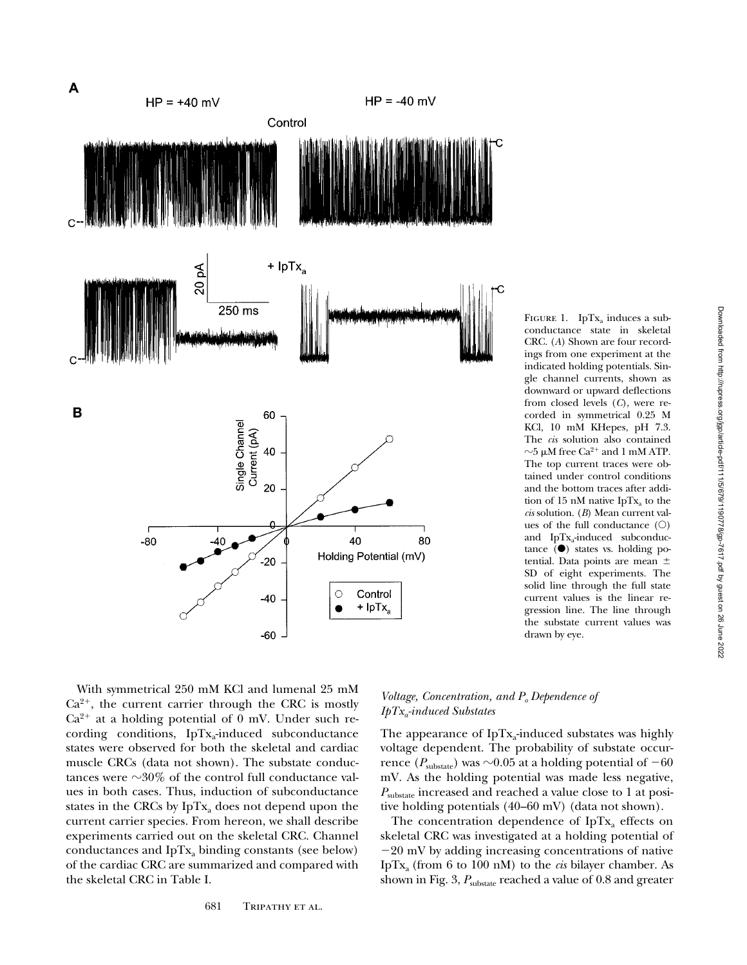

FIGURE 1. IpT $x_a$  induces a subconductance state in skeletal CRC. (*A*) Shown are four recordings from one experiment at the indicated holding potentials. Single channel currents, shown as downward or upward deflections from closed levels (*C*), were recorded in symmetrical 0.25 M KCl, 10 mM KHepes, pH 7.3. The *cis* solution also contained  $\sim$ 5 µM free Ca<sup>2+</sup> and 1 mM ATP. The top current traces were obtained under control conditions and the bottom traces after addition of 15 nM native IpT $x_a$  to the *cis* solution. (*B*) Mean current values of the full conductance  $(O)$ and  $IpTx_a$ -induced subconductance  $(\bullet)$  states vs. holding potential. Data points are mean  $\pm$ SD of eight experiments. The solid line through the full state current values is the linear regression line. The line through the substate current values was drawn by eye.

With symmetrical 250 mM KCl and lumenal 25 mM  $Ca^{2+}$ , the current carrier through the CRC is mostly  $Ca^{2+}$  at a holding potential of 0 mV. Under such recording conditions,  $IpTx_a$ -induced subconductance states were observed for both the skeletal and cardiac muscle CRCs (data not shown). The substate conductances were  $\sim$ 30% of the control full conductance values in both cases. Thus, induction of subconductance states in the CRCs by  $IpTx_3$  does not depend upon the current carrier species. From hereon, we shall describe experiments carried out on the skeletal CRC. Channel conductances and  $IpTx_a$  binding constants (see below) of the cardiac CRC are summarized and compared with the skeletal CRC in Table I.

# *Voltage, Concentration, and P<sub>o</sub> Dependence of IpTxa-induced Substates*

The appearance of IpT $x_a$ -induced substates was highly voltage dependent. The probability of substate occurrence ( $P_{\text{substr}}$ ) was  $\sim 0.05$  at a holding potential of  $-60$ mV. As the holding potential was made less negative, *P*substate increased and reached a value close to 1 at positive holding potentials (40–60 mV) (data not shown).

The concentration dependence of IpT $x_a$  effects on skeletal CRC was investigated at a holding potential of  $-20$  mV by adding increasing concentrations of native IpT $x_a$  (from 6 to 100 nM) to the *cis* bilayer chamber. As shown in Fig. 3,  $P_{\text{substate}}$  reached a value of 0.8 and greater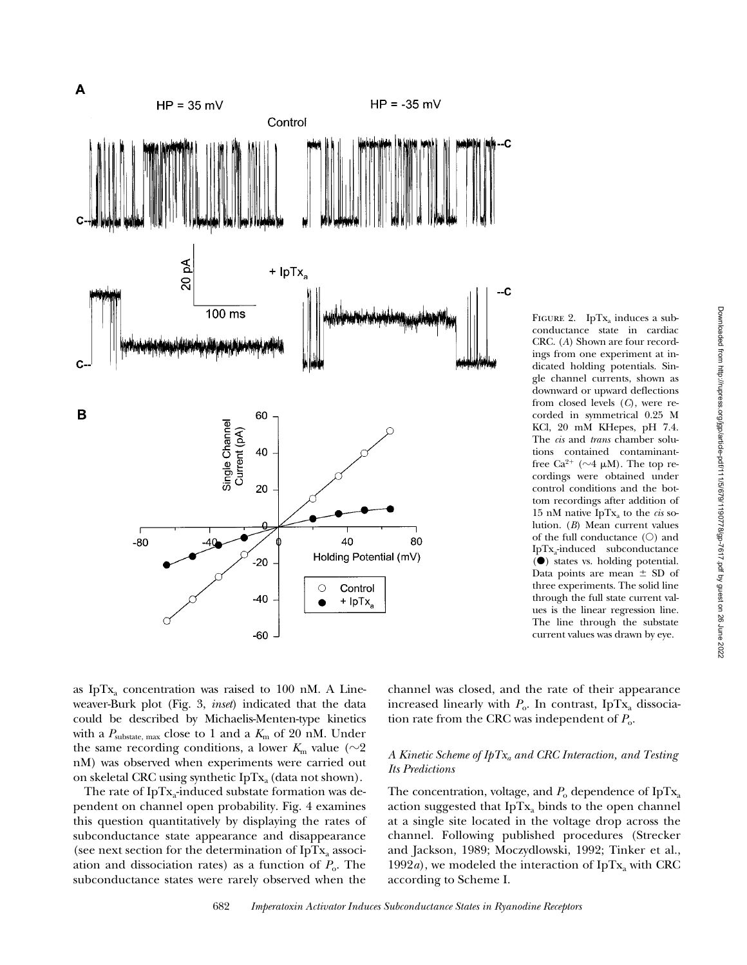Downloaded from http://rupress.org/jgp/article-pdf/111/5/679/1190778/gp-7617.pdf by guest on 26 June 2022



CRC. (*A*) Shown are four recordings from one experiment at indicated holding potentials. Single channel currents, shown as downward or upward deflections from closed levels (*C*), were recorded in symmetrical 0.25 M KCl, 20 mM KHepes, pH 7.4. The *cis* and *trans* chamber solutions contained contaminantfree Ca<sup>2+</sup> ( $\sim$ 4  $\mu$ M). The top recordings were obtained under control conditions and the bottom recordings after addition of 15 nM native IpT $x_a$  to the *cis* solution. (*B*) Mean current values of the full conductance  $(O)$  and IpTxa-induced subconductance (d) states vs. holding potential. Data points are mean  $\pm$  SD of three experiments. The solid line through the full state current values is the linear regression line. The line through the substate current values was drawn by eye.

as IpT $x_a$  concentration was raised to 100 nM. A Lineweaver-Burk plot (Fig. 3, *inset*) indicated that the data could be described by Michaelis-Menten-type kinetics with a  $P_{\text{substate, max}}$  close to 1 and a  $K_{\text{m}}$  of 20 nM. Under the same recording conditions, a lower  $K_m$  value ( $\sim$ 2) nM) was observed when experiments were carried out on skeletal CRC using synthetic IpT $x_a$  (data not shown).

The rate of  $IpTx_a$ -induced substate formation was dependent on channel open probability. Fig. 4 examines this question quantitatively by displaying the rates of subconductance state appearance and disappearance (see next section for the determination of IpT $x_a$  association and dissociation rates) as a function of  $P_{o}$ . The subconductance states were rarely observed when the

channel was closed, and the rate of their appearance increased linearly with  $P_0$ . In contrast, IpTx<sub>a</sub> dissociation rate from the CRC was independent of  $P_0$ .

# *A Kinetic Scheme of IpTxa and CRC Interaction, and Testing Its Predictions*

The concentration, voltage, and  $P_0$  dependence of IpTx<sub>a</sub> action suggested that  $IpTx$  binds to the open channel at a single site located in the voltage drop across the channel. Following published procedures (Strecker and Jackson, 1989; Moczydlowski, 1992; Tinker et al., 1992*a*), we modeled the interaction of IpT $x_a$  with CRC according to Scheme I.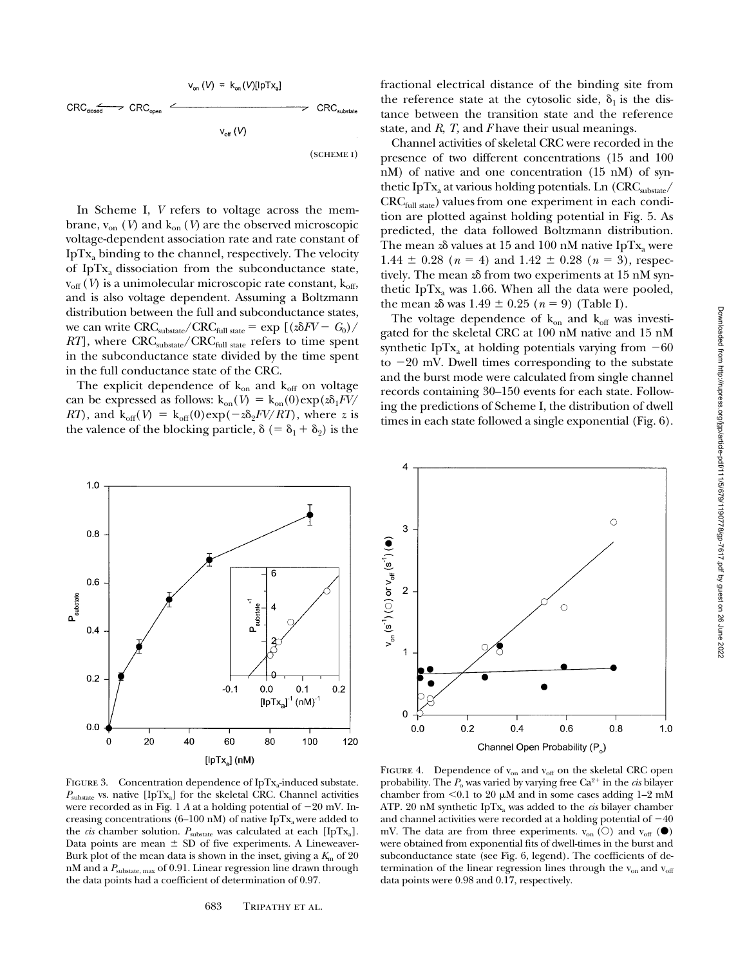$$
v_{on} (V) = k_{on} (V)[lpTx_{a}]
$$
  
\n
$$
CRC_{closed} \rightarrow CRC_{open} \xrightarrow{\qquad} \qquad \qquad \downarrow \qquad \qquad \downarrow \qquad \qquad \downarrow \qquad \qquad \downarrow \qquad \qquad \downarrow \qquad \downarrow \qquad \downarrow \qquad \downarrow \qquad \downarrow \qquad \downarrow \qquad \downarrow \qquad \downarrow \qquad \downarrow \qquad \downarrow \qquad \downarrow \qquad \downarrow \qquad \downarrow \qquad \downarrow \qquad \downarrow \qquad \downarrow \qquad \downarrow \qquad \downarrow \qquad \downarrow \qquad \downarrow \qquad \downarrow \qquad \downarrow \qquad \downarrow \qquad \downarrow \qquad \downarrow \qquad \downarrow \qquad \downarrow \qquad \downarrow \qquad \downarrow \qquad \downarrow \qquad \downarrow \qquad \downarrow \qquad \downarrow \qquad \downarrow \qquad \downarrow \qquad \downarrow \qquad \downarrow \qquad \downarrow \qquad \downarrow \qquad \downarrow \qquad \downarrow \qquad \downarrow \qquad \downarrow \qquad \downarrow \qquad \downarrow \qquad \downarrow \qquad \downarrow \qquad \downarrow \qquad \downarrow \qquad \downarrow \qquad \downarrow \qquad \downarrow \qquad \downarrow \qquad \downarrow \qquad \downarrow \qquad \downarrow \qquad \downarrow \qquad \downarrow \qquad \downarrow \qquad \downarrow \qquad \downarrow \qquad \downarrow \qquad \downarrow \qquad \downarrow \qquad \downarrow \qquad \downarrow \qquad \downarrow \qquad \downarrow \qquad \downarrow \qquad \downarrow \qquad \downarrow \qquad \downarrow \qquad \downarrow \qquad \downarrow \qquad \downarrow \qquad \downarrow \qquad \downarrow \qquad \downarrow \qquad \downarrow \qquad \downarrow \qquad \downarrow \qquad \downarrow \qquad \downarrow \qquad \downarrow \qquad \downarrow \qquad \downarrow \qquad \downarrow \qquad \downarrow \qquad \downarrow \qquad \downarrow \qquad \downarrow \qquad \downarrow \qquad \downarrow \qquad \downarrow \qquad \downarrow \qquad \downarrow \qquad \downarrow \qquad \downarrow \qquad \downarrow \qquad \downarrow \qquad \downarrow \qquad \downarrow \qquad \downarrow \qquad \downarrow \qquad \downarrow \qquad \downarrow \qquad \downarrow \qquad \downarrow \qquad \downarrow \qquad \downarrow \qquad \downarrow \qquad
$$

(scheme i)

In Scheme I, *V* refers to voltage across the membrane,  $v_{on}$  (*V*) and  $k_{on}$  (*V*) are the observed microscopic voltage-dependent association rate and rate constant of Ip $Tx_a$  binding to the channel, respectively. The velocity of IpTxa dissociation from the subconductance state,  $v_{\rm off}$  (*V*) is a unimolecular microscopic rate constant,  $k_{\rm off}$ , and is also voltage dependent. Assuming a Boltzmann distribution between the full and subconductance states, we can write  $\text{CRC}_{\text{substr}} / \text{CRC}_{\text{full state}} = \exp \left[ \left( \frac{\hat{\mathbf{z}}}{\hat{\mathbf{z}}} - \mathbf{G}_0 \right) / \right]$ *RT*], where CRC<sub>substate</sub>/CRC<sub>full state</sub> refers to time spent in the subconductance state divided by the time spent in the full conductance state of the CRC.

The explicit dependence of  $k_{on}$  and  $k_{off}$  on voltage can be expressed as follows:  $k_{on}(V) = k_{on}(0)exp(\sqrt{2}a_1FV)$ *RT*), and  $k_{off}(V) = k_{off}(0)exp(-z\delta_2 FV/RT)$ , where *z* is the valence of the blocking particle,  $\delta$  (=  $\delta_1$  +  $\delta_2$ ) is the

fractional electrical distance of the binding site from the reference state at the cytosolic side,  $\delta_1$  is the distance between the transition state and the reference state, and *R*, *T,* and *F* have their usual meanings.

Channel activities of skeletal CRC were recorded in the presence of two different concentrations (15 and 100 nM) of native and one concentration (15 nM) of synthetic IpT $x_a$  at various holding potentials. Ln (CRC<sub>substate</sub>/ CRC<sub>full state</sub>) values from one experiment in each condition are plotted against holding potential in Fig. 5. As predicted, the data followed Boltzmann distribution. The mean  $z\delta$  values at 15 and 100 nM native IpTx<sub>a</sub> were 1.44  $\pm$  0.28 (*n* = 4) and 1.42  $\pm$  0.28 (*n* = 3), respectively. The mean  $z\delta$  from two experiments at 15 nM synthetic IpT $x_a$  was 1.66. When all the data were pooled, the mean  $z\delta$  was  $1.49 \pm 0.25$  ( $n = 9$ ) (Table I).

The voltage dependence of  $k_{on}$  and  $k_{off}$  was investigated for the skeletal CRC at 100 nM native and 15 nM synthetic IpTx<sub>a</sub> at holding potentials varying from  $-60$ to  $-20$  mV. Dwell times corresponding to the substate and the burst mode were calculated from single channel records containing 30–150 events for each state. Following the predictions of Scheme I, the distribution of dwell times in each state followed a single exponential (Fig. 6).



FIGURE 3. Concentration dependence of IpT $x_a$ -induced substate.  $P_{\text{substate}}$  vs. native [IpTx<sub>a</sub>] for the skeletal CRC. Channel activities were recorded as in Fig. 1  $A$  at a holding potential of  $-20$  mV. Increasing concentrations (6–100 nM) of native IpT $x_a$  were added to the *cis* chamber solution.  $P_{\text{substate}}$  was calculated at each [IpTx<sub>a</sub>]. Data points are mean  $\pm$  SD of five experiments. A Lineweaver-Burk plot of the mean data is shown in the inset, giving a  $K<sub>m</sub>$  of 20 nM and a *P*substate, max of 0.91. Linear regression line drawn through the data points had a coefficient of determination of 0.97.



ATP. 20 nM synthetic IpTx<sub>a</sub> was added to the *cis* bilayer chamber and channel activities were recorded at a holding potential of  $-40$ mV. The data are from three experiments.  $v_{on}$  (O) and  $v_{off}$  ( $\bullet$ ) were obtained from exponential fits of dwell-times in the burst and subconductance state (see Fig. 6, legend). The coefficients of determination of the linear regression lines through the  $v_{on}$  and  $v_{off}$ 

data points were 0.98 and 0.17, respectively.

Downloaded from http://rupress.org/jgp/article-pdf/11/5/679/1190778/gp-7617.pdf by guest on 26 June 2022 Downloaded from http://rupress.org/jgp/article-pdf/111/5/679/1190778/gp-7617.pdf by guest on 26 June 2022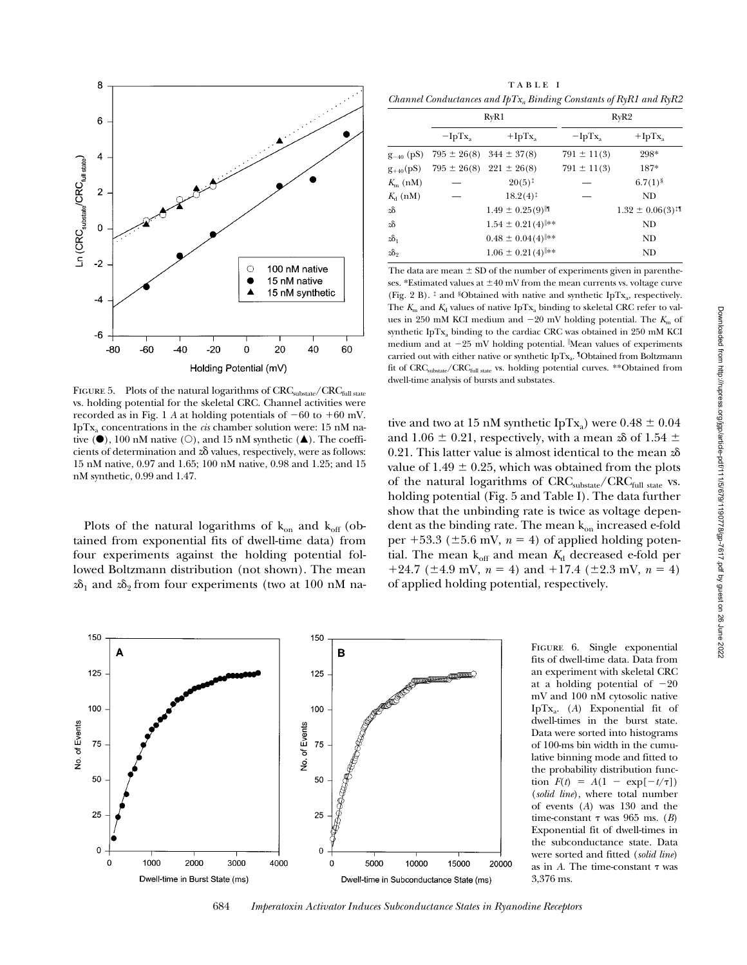

FIGURE 5. Plots of the natural logarithms of CRC<sub>substate</sub>/CRC<sub>full state</sub> vs. holding potential for the skeletal CRC. Channel activities were recorded as in Fig. 1 *A* at holding potentials of  $-60$  to  $+60$  mV. IpT $x_a$  concentrations in the *cis* chamber solution were: 15 nM native  $(\bullet)$ , 100 nM native  $(\circ)$ , and 15 nM synthetic  $(\triangle)$ . The coefficients of determination and  $z\delta$  values, respectively, were as follows: 15 nM native, 0.97 and 1.65; 100 nM native, 0.98 and 1.25; and 15 nM synthetic, 0.99 and 1.47.

Plots of the natural logarithms of  $k_{on}$  and  $k_{off}$  (obtained from exponential fits of dwell-time data) from four experiments against the holding potential followed Boltzmann distribution (not shown). The mean  $z\delta_1$  and  $z\delta_2$  from four experiments (two at 100 nM na-

TABLE I *Channel Conductances and IpTxa Binding Constants of RyR1 and RyR2*

| RyR1      |                                  | RyR2                                                               |                                 |  |
|-----------|----------------------------------|--------------------------------------------------------------------|---------------------------------|--|
| $-IpTx_a$ | $+$ IpTx <sub>a</sub>            | $-IpTx$                                                            | $+$ IpTx <sub>a</sub>           |  |
|           |                                  | $791 \pm 11(3)$                                                    | 298*                            |  |
|           |                                  | $791 \pm 11(3)$                                                    | 187*                            |  |
|           | $20(5)^{\ddagger}$               |                                                                    | $6.7(1)$ <sup>§</sup>           |  |
|           | $18.2(4)^{\ddagger}$             |                                                                    | ND                              |  |
|           | $1.49 \pm 0.25(9)$               |                                                                    | $1.32 \pm 0.06(3)$ <sup>1</sup> |  |
|           | $1.54 \pm 0.21(4)$ **            |                                                                    | ND                              |  |
|           | $0.48 \pm 0.04(4)$ <sup>**</sup> |                                                                    | ND                              |  |
|           | $1.06 \pm 0.21(4)$ <sup>**</sup> |                                                                    | ND                              |  |
|           |                                  | $795 \pm 26(8)$ 344 $\pm 37(8)$<br>$795 \pm 26(8)$ 221 $\pm 26(8)$ |                                 |  |

The data are mean  $\pm$  SD of the number of experiments given in parentheses. \*Estimated values at  $\pm 40$  mV from the mean currents vs. voltage curve (Fig. 2 B).  $\ddagger$  and §Obtained with native and synthetic IpTx<sub>a</sub>, respectively. The  $K<sub>m</sub>$  and  $K<sub>d</sub>$  values of native IpTx<sub>a</sub> binding to skeletal CRC refer to values in 250 mM KCI medium and  $-20$  mV holding potential. The  $K<sub>m</sub>$  of synthetic IpT $x_a$  binding to the cardiac CRC was obtained in 250 mM KCI medium and at -25 mV holding potential. Mean values of experiments carried out with either native or synthetic IpTx<sub>a</sub>. <sup>1</sup>Obtained from Boltzmann fit of CRC<sub>substate</sub>/CRC<sub>full state</sub> vs. holding potential curves. \*\*Obtained from dwell-time analysis of bursts and substates.

tive and two at 15 nM synthetic IpTx<sub>a</sub>) were  $0.48 \pm 0.04$ and 1.06  $\pm$  0.21, respectively, with a mean  $\alpha$  of 1.54  $\pm$ 0.21. This latter value is almost identical to the mean *z*d value of 1.49  $\pm$  0.25, which was obtained from the plots of the natural logarithms of  $\mathrm{CRC}_\mathrm{substate}/\mathrm{CRC}_\mathrm{full\ state}$  vs. holding potential (Fig. 5 and Table I). The data further show that the unbinding rate is twice as voltage dependent as the binding rate. The mean  $k_{on}$  increased e-fold per  $+53.3$  ( $\pm 5.6$  mV,  $n = 4$ ) of applied holding potential. The mean  $k_{off}$  and mean  $K_d$  decreased e-fold per  $+24.7$  ( $\pm$ 4.9 mV,  $n = 4$ ) and  $+17.4$  ( $\pm$ 2.3 mV,  $n = 4$ ) of applied holding potential, respectively.



FIGURE 6. Single exponential fits of dwell-time data. Data from an experiment with skeletal CRC at a holding potential of  $-20$ mV and 100 nM cytosolic native IpTx<sub>a</sub>. (A) Exponential fit of dwell-times in the burst state. Data were sorted into histograms of 100-ms bin width in the cumulative binning mode and fitted to the probability distribution function  $F(t) = A(1 - \exp[-t/\tau])$ (*solid line*), where total number of events (*A*) was 130 and the time-constant  $\tau$  was 965 ms. (*B*) Exponential fit of dwell-times in the subconductance state. Data were sorted and fitted (*solid line*) as in  $A$ . The time-constant  $\tau$  was 3,376 ms.

684 *Imperatoxin Activator Induces Subconductance States in Ryanodine Receptors*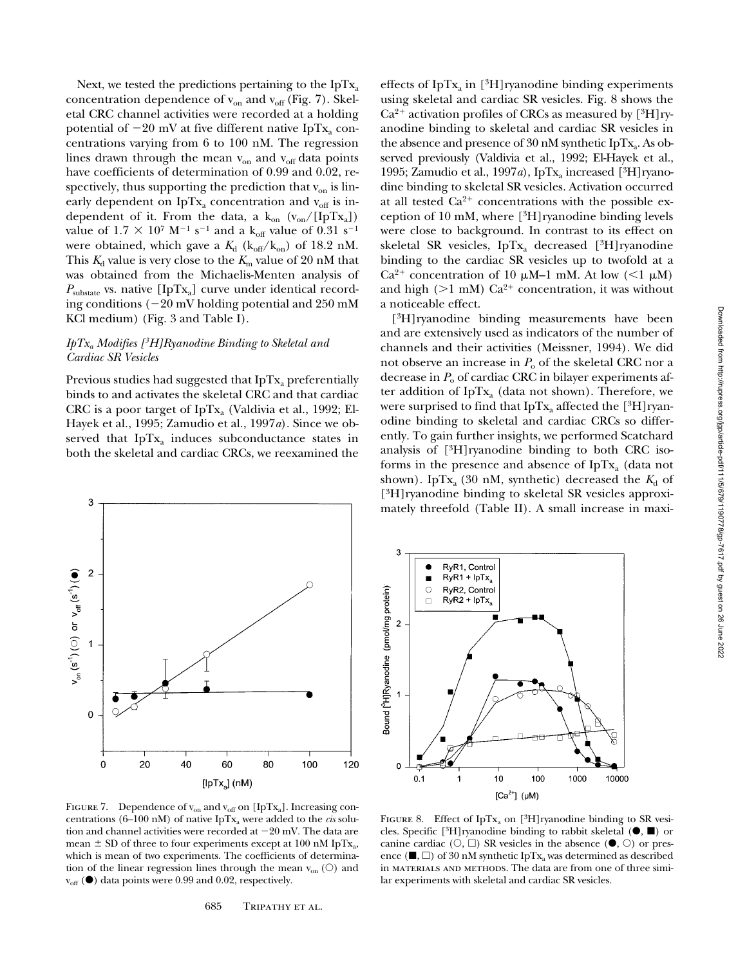Next, we tested the predictions pertaining to the  $IpTx_a$ concentration dependence of  $v_{on}$  and  $v_{off}$  (Fig. 7). Skeletal CRC channel activities were recorded at a holding potential of  $-20$  mV at five different native IpTx<sub>a</sub> concentrations varying from 6 to 100 nM. The regression lines drawn through the mean  $v_{on}$  and  $v_{off}$  data points have coefficients of determination of 0.99 and 0.02, respectively, thus supporting the prediction that  $v_{on}$  is linearly dependent on IpT $x_a$  concentration and  $v_{off}$  is independent of it. From the data, a  $k_{on}$  ( $v_{on}/[IpTx_a]$ ) value of  $1.7 \times 10^7$  M<sup>-1</sup> s<sup>-1</sup> and a k<sub>off</sub> value of 0.31 s<sup>-1</sup> were obtained, which gave a  $K_d$  (k<sub>off</sub>/k<sub>on</sub>) of 18.2 nM. This  $K_d$  value is very close to the  $K_m$  value of 20 nM that was obtained from the Michaelis-Menten analysis of  $P_{\text{substate}}$  vs. native [IpTx<sub>a</sub>] curve under identical recording conditions  $(-20 \text{ mV}$  holding potential and 250 mM KCl medium) (Fig. 3 and Table I).

## *IpTxa Modifies [3H]Ryanodine Binding to Skeletal and Cardiac SR Vesicles*

Previous studies had suggested that  $IpTx_a$  preferentially binds to and activates the skeletal CRC and that cardiac CRC is a poor target of  $IpTx_a$  (Valdivia et al., 1992; El-Hayek et al., 1995; Zamudio et al., 1997*a*). Since we observed that  $IpTx_a$  induces subconductance states in both the skeletal and cardiac CRCs, we reexamined the



effects of IpT $x_a$  in [<sup>3</sup>H]ryanodine binding experiments using skeletal and cardiac SR vesicles. Fig. 8 shows the  $Ca^{2+}$  activation profiles of CRCs as measured by  $[^{3}H]$ ryanodine binding to skeletal and cardiac SR vesicles in the absence and presence of 30 nM synthetic IpTx<sub>a</sub>. As observed previously (Valdivia et al., 1992; El-Hayek et al., 1995; Zamudio et al., 1997 $a$ ), IpT $x_a$  increased [<sup>3</sup>H]ryanodine binding to skeletal SR vesicles. Activation occurred at all tested  $Ca^{2+}$  concentrations with the possible exception of 10 mM, where [3H]ryanodine binding levels were close to background. In contrast to its effect on skeletal SR vesicles,  $IpTx_a$  decreased  $[³H]ryanodine$ binding to the cardiac SR vesicles up to twofold at a Ca<sup>2+</sup> concentration of 10  $\mu$ M–1 mM. At low (<1  $\mu$ M) and high ( $>1$  mM) Ca<sup>2+</sup> concentration, it was without a noticeable effect.

[3H]ryanodine binding measurements have been and are extensively used as indicators of the number of channels and their activities (Meissner, 1994). We did not observe an increase in  $P_0$  of the skeletal CRC nor a decrease in  $P<sub>o</sub>$  of cardiac CRC in bilayer experiments after addition of  $IpTx_a$  (data not shown). Therefore, we were surprised to find that  $IpTx_a$  affected the [3H]ryanodine binding to skeletal and cardiac CRCs so differently. To gain further insights, we performed Scatchard analysis of [3H]ryanodine binding to both CRC isoforms in the presence and absence of  $IpTx_a$  (data not shown). IpT $x_a$  (30 nM, synthetic) decreased the  $K_d$  of [3H]ryanodine binding to skeletal SR vesicles approximately threefold (Table II). A small increase in maxi-



FIGURE 7. Dependence of  $v_{on}$  and  $v_{off}$  on [IpTx<sub>a</sub>]. Increasing concentrations (6–100 nM) of native  $IpTx_a$  were added to the *cis* solution and channel activities were recorded at  $-20$  mV. The data are mean  $\pm$  SD of three to four experiments except at 100 nM IpTx<sub>a</sub>, which is mean of two experiments. The coefficients of determination of the linear regression lines through the mean  $v_{on}$  (O) and  $v_{\rm off}$  ( $\bullet$ ) data points were 0.99 and 0.02, respectively.

FIGURE 8. Effect of IpTx<sub>a</sub> on  $[^{3}H]$ ryanodine binding to SR vesicles. Specific [3H]ryanodine binding to rabbit skeletal  $(\bullet, \blacksquare)$  or canine cardiac  $(0, \Box)$  SR vesicles in the absence  $(\bullet, 0)$  or presence ( $\blacksquare$ ,  $\Box$ ) of 30 nM synthetic IpTx<sub>a</sub> was determined as described in materials and methods. The data are from one of three similar experiments with skeletal and cardiac SR vesicles.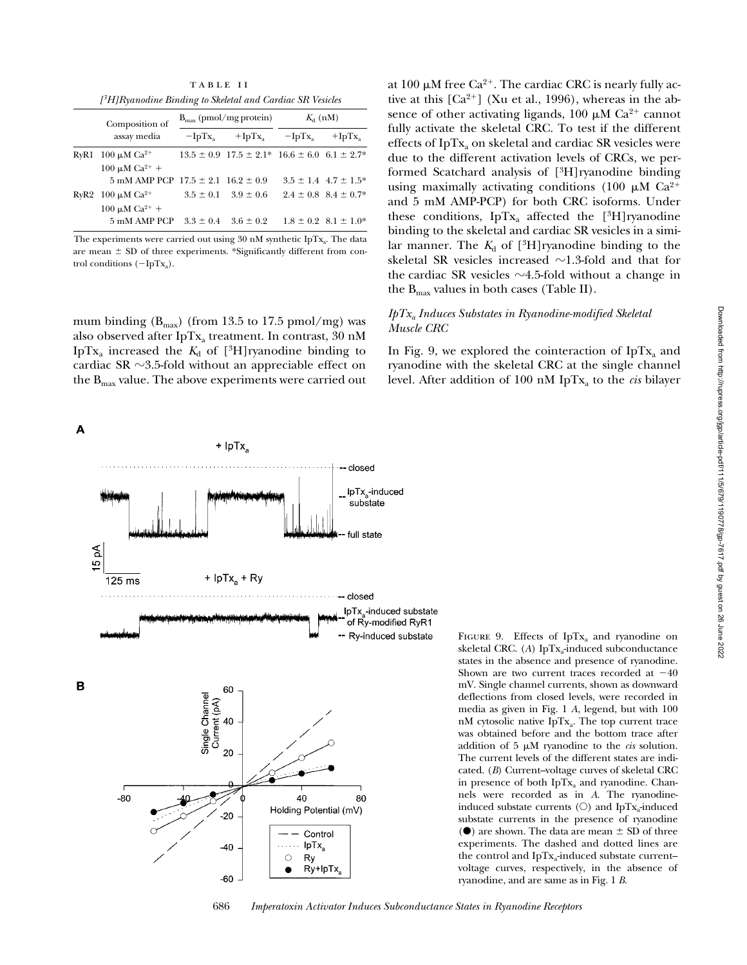table ii *[3H]Ryanodine Binding to Skeletal and Cardiac SR Vesicles*

|  | Composition of<br>assay media                                                 | $B_{\text{max}}$ (pmol/mg protein) |                                                                | $K_{d}$ (nM)        |                               |
|--|-------------------------------------------------------------------------------|------------------------------------|----------------------------------------------------------------|---------------------|-------------------------------|
|  |                                                                               | $-IpTx$                            |                                                                | $+IpTx_a$ $-IpTx_a$ | $+$ IpTx                      |
|  | RyR1 100 $\mu$ M Ca <sup>2+</sup>                                             |                                    | $13.5 \pm 0.9$ $17.5 \pm 2.1^*$ $16.6 \pm 6.0$ $6.1 \pm 2.7^*$ |                     |                               |
|  | $100 \mu M Ca^{2+} +$<br>$5 \text{ mM AMP PCP}$ 17.5 $\pm$ 2.1 16.2 $\pm$ 0.9 |                                    |                                                                |                     | $3.5 \pm 1.4$ $4.7 \pm 1.5^*$ |
|  | RyR2 100 $\mu$ M Ca <sup>2+</sup>                                             |                                    | $3.5 \pm 0.1$ $3.9 \pm 0.6$                                    |                     | $2.4 \pm 0.8$ $8.4 \pm 0.7$ * |
|  | $100 \mu M Ca^{2+} +$<br>5 mM AMP PCP                                         |                                    | $3.3 \pm 0.4$ $3.6 \pm 0.2$ $1.8 \pm 0.2$ $8.1 \pm 1.0$ *      |                     |                               |

The experiments were carried out using  $30 \text{ nM}$  synthetic IpTx<sub>a</sub>. The data are mean  $\pm$  SD of three experiments. \*Significantly different from control conditions  $(-IpTx_a)$ .

mum binding  $(B_{\text{max}})$  (from 13.5 to 17.5 pmol/mg) was also observed after IpTx<sub>a</sub> treatment. In contrast, 30 nM IpTx<sub>a</sub> increased the  $K_d$  of [<sup>3</sup>H]ryanodine binding to cardiac SR  $\sim$ 3.5-fold without an appreciable effect on the  $B_{\text{max}}$  value. The above experiments were carried out

A



at 100  $\mu$ M free Ca<sup>2+</sup>. The cardiac CRC is nearly fully active at this  $[Ca^{2+}]$  (Xu et al., 1996), whereas in the absence of other activating ligands, 100  $\mu$ M Ca<sup>2+</sup> cannot fully activate the skeletal CRC. To test if the different effects of IpT $x_a$  on skeletal and cardiac SR vesicles were due to the different activation levels of CRCs, we performed Scatchard analysis of [3H]ryanodine binding using maximally activating conditions (100  $\mu$ M Ca<sup>2+</sup> and 5 mM AMP-PCP) for both CRC isoforms. Under these conditions, IpTx<sub>a</sub> affected the  $[3H]$ ryanodine binding to the skeletal and cardiac SR vesicles in a similar manner. The  $K_d$  of  $[{}^3H]$ ryanodine binding to the skeletal SR vesicles increased  $\sim$ 1.3-fold and that for the cardiac SR vesicles  $\sim$ 4.5-fold without a change in the  $B_{\text{max}}$  values in both cases (Table II).

## *IpTxa Induces Substates in Ryanodine-modified Skeletal Muscle CRC*

In Fig. 9, we explored the cointeraction of  $IpTx_a$  and ryanodine with the skeletal CRC at the single channel level. After addition of 100 nM IpT $x_a$  to the *cis* bilayer

> in presence of both IpTx<sub>a</sub> and ryanodine. Channels were recorded as in *A*. The ryanodineinduced substate currents  $(O)$  and IpTx<sub>a</sub>-induced substate currents in the presence of ryanodine  $(\spadesuit)$  are shown. The data are mean  $\pm$  SD of three experiments. The dashed and dotted lines are the control and IpTx<sub>a</sub>-induced substate current– voltage curves, respectively, in the absence of

ryanodine, and are same as in Fig. 1 *B*.

Downloaded from http://rupress.org/jgp/article-pdf/111/5/679/1190778/gp-7617.pdf by guest on 26 June 2022 Downloaded from http://rupress.org/jgp/article-pdf/111/5/679/1190778/gp-7617.pdf by guest on 26 June 2022

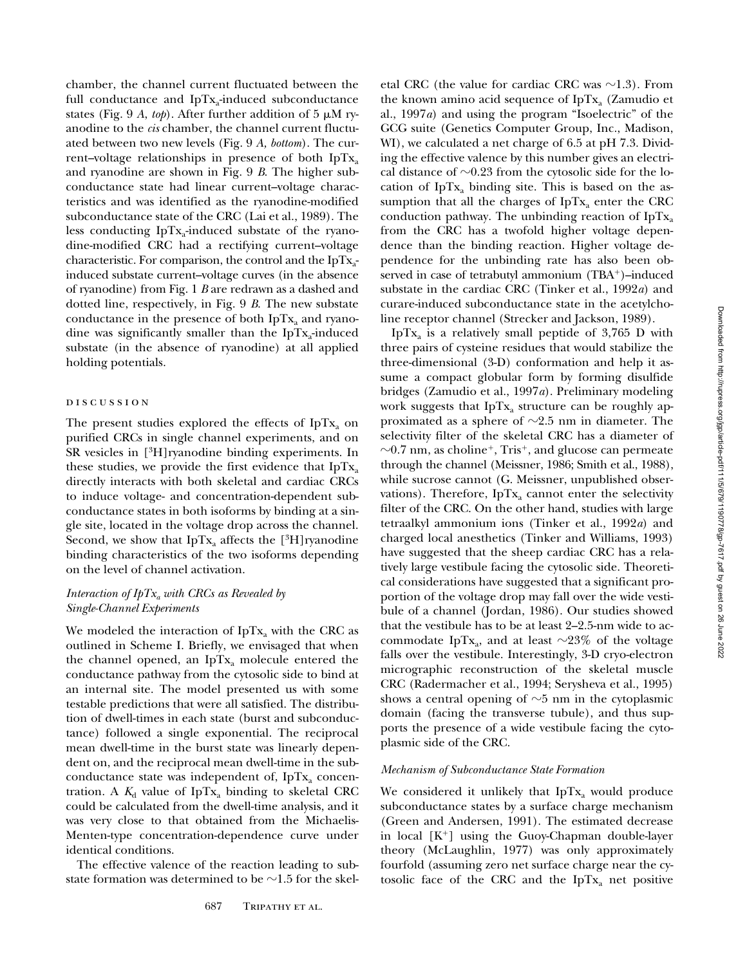chamber, the channel current fluctuated between the full conductance and  $IpTx_a$ -induced subconductance states (Fig. 9  $A$ , *top*). After further addition of 5  $\mu$ M ryanodine to the *cis* chamber, the channel current fluctuated between two new levels (Fig. 9 *A, bottom*). The current–voltage relationships in presence of both  $IpTx_a$ and ryanodine are shown in Fig. 9 *B*. The higher subconductance state had linear current–voltage characteristics and was identified as the ryanodine-modified subconductance state of the CRC (Lai et al., 1989). The less conducting IpT $x_a$ -induced substate of the ryanodine-modified CRC had a rectifying current–voltage characteristic. For comparison, the control and the  $\text{IpTx}_{a-}$ induced substate current–voltage curves (in the absence of ryanodine) from Fig. 1 *B* are redrawn as a dashed and dotted line, respectively, in Fig. 9 *B*. The new substate conductance in the presence of both  $IpTx_a$  and ryanodine was significantly smaller than the IpT $x_a$ -induced substate (in the absence of ryanodine) at all applied holding potentials.

## DISCUSSION

The present studies explored the effects of IpT $x_a$  on purified CRCs in single channel experiments, and on SR vesicles in [3H]ryanodine binding experiments. In these studies, we provide the first evidence that  $IpTx_a$ directly interacts with both skeletal and cardiac CRCs to induce voltage- and concentration-dependent subconductance states in both isoforms by binding at a single site, located in the voltage drop across the channel. Second, we show that  $IpTx_a$  affects the [<sup>3</sup>H]ryanodine binding characteristics of the two isoforms depending on the level of channel activation.

# *Interaction of IpTxa with CRCs as Revealed by Single-Channel Experiments*

We modeled the interaction of  $IpTx_a$  with the CRC as outlined in Scheme I. Briefly, we envisaged that when the channel opened, an IpTx<sub>a</sub> molecule entered the conductance pathway from the cytosolic side to bind at an internal site. The model presented us with some testable predictions that were all satisfied. The distribution of dwell-times in each state (burst and subconductance) followed a single exponential. The reciprocal mean dwell-time in the burst state was linearly dependent on, and the reciprocal mean dwell-time in the subconductance state was independent of, IpT $x_a$  concentration. A  $K_d$  value of IpTx<sub>a</sub> binding to skeletal CRC could be calculated from the dwell-time analysis, and it was very close to that obtained from the Michaelis-Menten-type concentration-dependence curve under identical conditions.

The effective valence of the reaction leading to substate formation was determined to be  $\sim$ 1.5 for the skeletal CRC (the value for cardiac CRC was  $\sim$ 1.3). From the known amino acid sequence of IpT $x_a$  (Zamudio et al., 1997*a*) and using the program "Isoelectric" of the GCG suite (Genetics Computer Group, Inc., Madison, WI), we calculated a net charge of 6.5 at pH 7.3. Dividing the effective valence by this number gives an electrical distance of  $\sim$ 0.23 from the cytosolic side for the location of  $IpTx_a$  binding site. This is based on the assumption that all the charges of  $IpTx_a$  enter the CRC conduction pathway. The unbinding reaction of  $IpTx_a$ from the CRC has a twofold higher voltage dependence than the binding reaction. Higher voltage dependence for the unbinding rate has also been observed in case of tetrabutyl ammonium  $(TBA<sup>+</sup>)$ –induced substate in the cardiac CRC (Tinker et al., 1992*a*) and curare-induced subconductance state in the acetylcholine receptor channel (Strecker and Jackson, 1989).

IpT $x_a$  is a relatively small peptide of 3,765 D with three pairs of cysteine residues that would stabilize the three-dimensional (3-D) conformation and help it assume a compact globular form by forming disulfide bridges (Zamudio et al., 1997*a*). Preliminary modeling work suggests that  $IpTx_a$  structure can be roughly approximated as a sphere of  $\sim$ 2.5 nm in diameter. The selectivity filter of the skeletal CRC has a diameter of  $\sim$ 0.7 nm, as choline<sup>+</sup>, Tris<sup>+</sup>, and glucose can permeate through the channel (Meissner, 1986; Smith et al., 1988), while sucrose cannot (G. Meissner, unpublished observations). Therefore,  $IpTx_a$  cannot enter the selectivity filter of the CRC. On the other hand, studies with large tetraalkyl ammonium ions (Tinker et al., 1992*a*) and charged local anesthetics (Tinker and Williams, 1993) have suggested that the sheep cardiac CRC has a relatively large vestibule facing the cytosolic side. Theoretical considerations have suggested that a significant proportion of the voltage drop may fall over the wide vestibule of a channel (Jordan, 1986). Our studies showed that the vestibule has to be at least 2–2.5-nm wide to accommodate IpTx<sub>a</sub>, and at least  $\sim$ 23% of the voltage falls over the vestibule. Interestingly, 3-D cryo-electron micrographic reconstruction of the skeletal muscle CRC (Radermacher et al., 1994; Serysheva et al., 1995) shows a central opening of  $\sim$ 5 nm in the cytoplasmic domain (facing the transverse tubule), and thus supports the presence of a wide vestibule facing the cytoplasmic side of the CRC.

## *Mechanism of Subconductance State Formation*

We considered it unlikely that  $IpTx_a$  would produce subconductance states by a surface charge mechanism (Green and Andersen, 1991). The estimated decrease in local  $[K^+]$  using the Guoy-Chapman double-layer theory (McLaughlin, 1977) was only approximately fourfold (assuming zero net surface charge near the cytosolic face of the CRC and the IpT $x_a$  net positive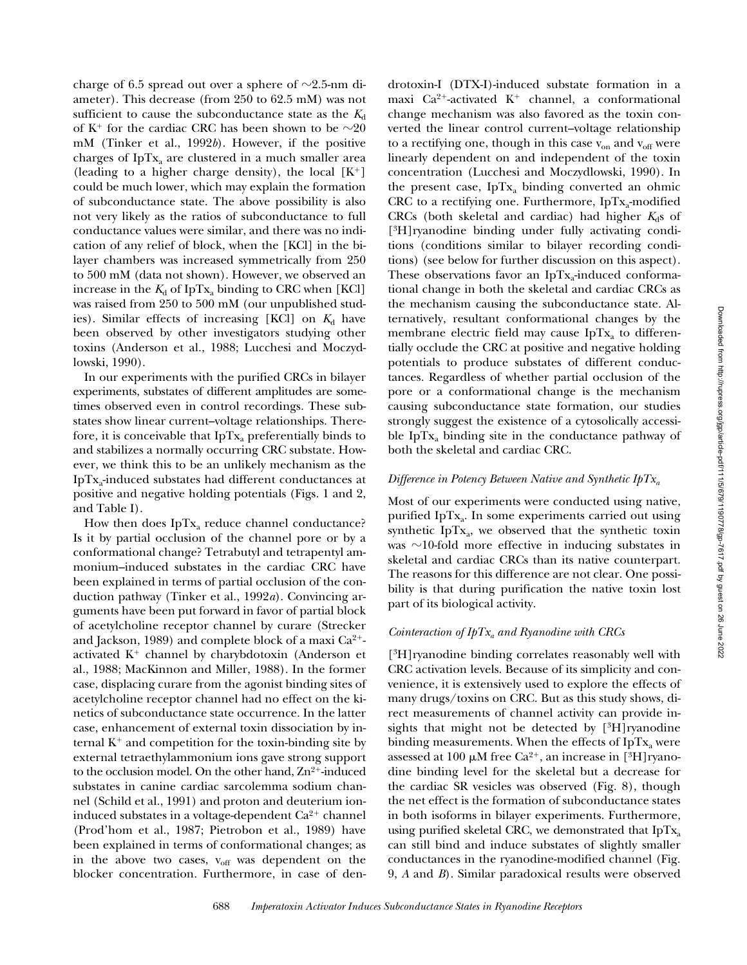charge of 6.5 spread out over a sphere of  $\sim$ 2.5-nm diameter). This decrease (from 250 to 62.5 mM) was not sufficient to cause the subconductance state as the  $K_d$ of K<sup>+</sup> for the cardiac CRC has been shown to be  $\sim 20$ mM (Tinker et al., 1992*b*). However, if the positive charges of  $IpTx_a$  are clustered in a much smaller area (leading to a higher charge density), the local  $[K^+]$ could be much lower, which may explain the formation of subconductance state. The above possibility is also not very likely as the ratios of subconductance to full conductance values were similar, and there was no indication of any relief of block, when the [KCl] in the bilayer chambers was increased symmetrically from 250 to 500 mM (data not shown). However, we observed an increase in the  $K_d$  of IpTx<sub>a</sub> binding to CRC when [KCl] was raised from 250 to 500 mM (our unpublished studies). Similar effects of increasing  $[KCI]$  on  $K_d$  have been observed by other investigators studying other toxins (Anderson et al., 1988; Lucchesi and Moczydlowski, 1990).

In our experiments with the purified CRCs in bilayer experiments, substates of different amplitudes are sometimes observed even in control recordings. These substates show linear current–voltage relationships. Therefore, it is conceivable that  $IpTx_a$  preferentially binds to and stabilizes a normally occurring CRC substate. However, we think this to be an unlikely mechanism as the IpTxa-induced substates had different conductances at positive and negative holding potentials (Figs. 1 and 2, and Table I).

How then does  $IpTx_a$  reduce channel conductance? Is it by partial occlusion of the channel pore or by a conformational change? Tetrabutyl and tetrapentyl ammonium–induced substates in the cardiac CRC have been explained in terms of partial occlusion of the conduction pathway (Tinker et al., 1992*a*). Convincing arguments have been put forward in favor of partial block of acetylcholine receptor channel by curare (Strecker and Jackson, 1989) and complete block of a maxi  $Ca^{2+}$ activated  $K^+$  channel by charybdotoxin (Anderson et al., 1988; MacKinnon and Miller, 1988). In the former case, displacing curare from the agonist binding sites of acetylcholine receptor channel had no effect on the kinetics of subconductance state occurrence. In the latter case, enhancement of external toxin dissociation by internal  $K^+$  and competition for the toxin-binding site by external tetraethylammonium ions gave strong support to the occlusion model. On the other hand,  $Zn^{2+}$ -induced substates in canine cardiac sarcolemma sodium channel (Schild et al., 1991) and proton and deuterium ioninduced substates in a voltage-dependent  $Ca<sup>2+</sup>$  channel (Prod'hom et al., 1987; Pietrobon et al., 1989) have been explained in terms of conformational changes; as in the above two cases,  $v_{\text{off}}$  was dependent on the blocker concentration. Furthermore, in case of den-

drotoxin-I (DTX-I)-induced substate formation in a maxi Ca<sup>2+</sup>-activated K<sup>+</sup> channel, a conformational change mechanism was also favored as the toxin converted the linear control current–voltage relationship to a rectifying one, though in this case  $v_{on}$  and  $v_{off}$  were linearly dependent on and independent of the toxin concentration (Lucchesi and Moczydlowski, 1990). In the present case,  $IpTx_a$  binding converted an ohmic CRC to a rectifying one. Furthermore,  $IpTx_a$ -modified CRCs (both skeletal and cardiac) had higher  $K_d$ s of [3H]ryanodine binding under fully activating conditions (conditions similar to bilayer recording conditions) (see below for further discussion on this aspect). These observations favor an IpT $x_a$ -induced conformational change in both the skeletal and cardiac CRCs as the mechanism causing the subconductance state. Alternatively, resultant conformational changes by the membrane electric field may cause IpT $x_a$  to differentially occlude the CRC at positive and negative holding potentials to produce substates of different conductances. Regardless of whether partial occlusion of the pore or a conformational change is the mechanism causing subconductance state formation, our studies strongly suggest the existence of a cytosolically accessible IpT $x_a$  binding site in the conductance pathway of both the skeletal and cardiac CRC.

#### *Difference in Potency Between Native and Synthetic IpTxa*

Most of our experiments were conducted using native, purified IpT $x_a$ . In some experiments carried out using synthetic IpT $x_a$ , we observed that the synthetic toxin was  $\sim$ 10-fold more effective in inducing substates in skeletal and cardiac CRCs than its native counterpart. The reasons for this difference are not clear. One possibility is that during purification the native toxin lost part of its biological activity.

## *Cointeraction of IpTxa and Ryanodine with CRCs*

[3H]ryanodine binding correlates reasonably well with CRC activation levels. Because of its simplicity and convenience, it is extensively used to explore the effects of many drugs/toxins on CRC. But as this study shows, direct measurements of channel activity can provide insights that might not be detected by  $[{}^{3}H]$ ryanodine binding measurements. When the effects of IpT $x_a$  were assessed at 100  $\mu$ M free Ca<sup>2+</sup>, an increase in [<sup>3</sup>H]ryanodine binding level for the skeletal but a decrease for the cardiac SR vesicles was observed (Fig. 8), though the net effect is the formation of subconductance states in both isoforms in bilayer experiments. Furthermore, using purified skeletal CRC, we demonstrated that  $IpTx_a$ can still bind and induce substates of slightly smaller conductances in the ryanodine-modified channel (Fig. 9, *A* and *B*). Similar paradoxical results were observed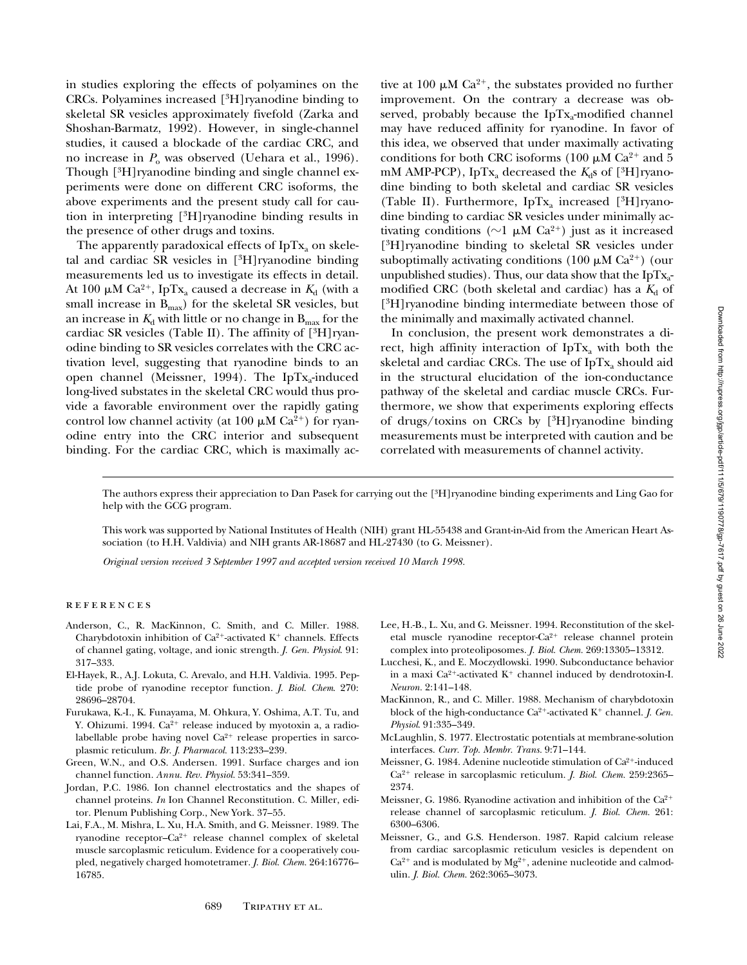in studies exploring the effects of polyamines on the CRCs. Polyamines increased [3H]ryanodine binding to skeletal SR vesicles approximately fivefold (Zarka and Shoshan-Barmatz, 1992). However, in single-channel studies, it caused a blockade of the cardiac CRC, and no increase in  $P_0$  was observed (Uehara et al., 1996). Though [3H]ryanodine binding and single channel experiments were done on different CRC isoforms, the above experiments and the present study call for caution in interpreting [3H]ryanodine binding results in the presence of other drugs and toxins.

The apparently paradoxical effects of  $IpTx_a$  on skeletal and cardiac SR vesicles in [3H]ryanodine binding measurements led us to investigate its effects in detail. At 100  $\mu$ M Ca<sup>2+</sup>, IpTx<sub>a</sub> caused a decrease in  $K_d$  (with a small increase in  $B_{\text{max}}$ ) for the skeletal SR vesicles, but an increase in  $K_d$  with little or no change in  $B_{\text{max}}$  for the cardiac SR vesicles (Table II). The affinity of  $[{}^{3}H]$ ryanodine binding to SR vesicles correlates with the CRC activation level, suggesting that ryanodine binds to an open channel (Meissner, 1994). The IpT $x_a$ -induced long-lived substates in the skeletal CRC would thus provide a favorable environment over the rapidly gating control low channel activity (at 100  $\mu$ M Ca<sup>2+</sup>) for ryanodine entry into the CRC interior and subsequent binding. For the cardiac CRC, which is maximally active at 100  $\mu$ M Ca<sup>2+</sup>, the substates provided no further improvement. On the contrary a decrease was observed, probably because the IpT $x_a$ -modified channel may have reduced affinity for ryanodine. In favor of this idea, we observed that under maximally activating conditions for both CRC isoforms (100  $\mu$ M Ca<sup>2+</sup> and 5 mM AMP-PCP), IpTx<sub>a</sub> decreased the  $K_d$ s of [<sup>3</sup>H]ryanodine binding to both skeletal and cardiac SR vesicles (Table II). Furthermore,  $IpTx_a$  increased [<sup>3</sup>H]ryanodine binding to cardiac SR vesicles under minimally activating conditions ( $\sim$ 1  $\mu$ M Ca<sup>2+</sup>) just as it increased [3H]ryanodine binding to skeletal SR vesicles under suboptimally activating conditions (100  $\mu$ M Ca<sup>2+</sup>) (our unpublished studies). Thus, our data show that the  $IpTx_a$ modified CRC (both skeletal and cardiac) has a  $K_d$  of [3H]ryanodine binding intermediate between those of the minimally and maximally activated channel.

In conclusion, the present work demonstrates a direct, high affinity interaction of IpT $x_a$  with both the skeletal and cardiac CRCs. The use of  $IpTx_a$  should aid in the structural elucidation of the ion-conductance pathway of the skeletal and cardiac muscle CRCs. Furthermore, we show that experiments exploring effects of drugs/toxins on CRCs by [3H]ryanodine binding measurements must be interpreted with caution and be correlated with measurements of channel activity.

The authors express their appreciation to Dan Pasek for carrying out the [3H]ryanodine binding experiments and Ling Gao for help with the GCG program.

This work was supported by National Institutes of Health (NIH) grant HL-55438 and Grant-in-Aid from the American Heart Association (to H.H. Valdivia) and NIH grants AR-18687 and HL-27430 (to G. Meissner).

*Original version received 3 September 1997 and accepted version received 10 March 1998.*

## **REFERENCES**

- Anderson, C., R. MacKinnon, C. Smith, and C. Miller. 1988. Charybdotoxin inhibition of  $Ca^{2+}$ -activated K<sup>+</sup> channels. Effects of channel gating, voltage, and ionic strength. *J. Gen. Physiol*. 91: 317–333.
- El-Hayek, R., A.J. Lokuta, C. Arevalo, and H.H. Valdivia. 1995. Peptide probe of ryanodine receptor function. *J. Biol. Chem*. 270: 28696–28704.
- Furukawa, K.-I., K. Funayama, M. Ohkura, Y. Oshima, A.T. Tu, and Y. Ohizumi. 1994.  $Ca^{2+}$  release induced by myotoxin a, a radiolabellable probe having novel  $Ca^{2+}$  release properties in sarcoplasmic reticulum. *Br. J. Pharmacol.* 113:233–239.
- Green, W.N., and O.S. Andersen. 1991. Surface charges and ion channel function. *Annu. Rev. Physiol.* 53:341–359.
- Jordan, P.C. 1986. Ion channel electrostatics and the shapes of channel proteins. *In* Ion Channel Reconstitution. C. Miller, editor. Plenum Publishing Corp., New York. 37–55.
- Lai, F.A., M. Mishra, L. Xu, H.A. Smith, and G. Meissner. 1989. The ryanodine receptor-Ca<sup>2+</sup> release channel complex of skeletal muscle sarcoplasmic reticulum. Evidence for a cooperatively coupled, negatively charged homotetramer. *J. Biol. Chem.* 264:16776– 16785.
- Lee, H.-B., L. Xu, and G. Meissner. 1994. Reconstitution of the skeletal muscle ryanodine receptor-Ca<sup>2+</sup> release channel protein complex into proteoliposomes. *J. Biol. Chem.* 269:13305–13312.
- Lucchesi, K., and E. Moczydlowski. 1990. Subconductance behavior in a maxi Ca<sup>2+</sup>-activated  $K^+$  channel induced by dendrotoxin-I. *Neuron.* 2:141–148.
- MacKinnon, R., and C. Miller. 1988. Mechanism of charybdotoxin block of the high-conductance  $Ca^{2+}$ -activated  $K^+$  channel. *J. Gen. Physiol*. 91:335–349.
- McLaughlin, S. 1977. Electrostatic potentials at membrane-solution interfaces. *Curr. Top. Membr. Trans.* 9:71–144.
- Meissner, G. 1984. Adenine nucleotide stimulation of Ca<sup>2+</sup>-induced Ca2<sup>1</sup> release in sarcoplasmic reticulum. *J. Biol. Chem.* 259:2365– 2374.
- Meissner, G. 1986. Ryanodine activation and inhibition of the  $Ca^{2+}$ release channel of sarcoplasmic reticulum. *J. Biol. Chem.* 261: 6300–6306.
- Meissner, G., and G.S. Henderson. 1987. Rapid calcium release from cardiac sarcoplasmic reticulum vesicles is dependent on  $Ca^{2+}$  and is modulated by  $Mg^{2+}$ , adenine nucleotide and calmodulin. *J. Biol. Chem.* 262:3065–3073.